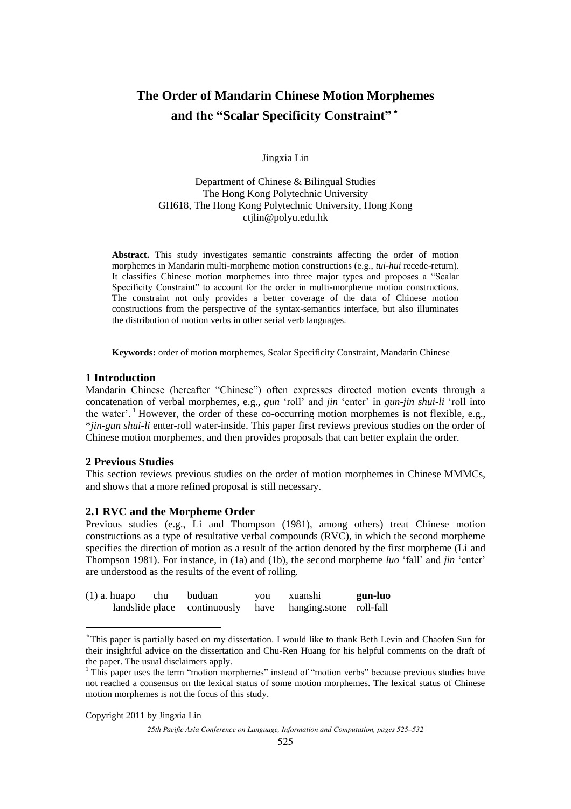# **The Order of Mandarin Chinese Motion Morphemes and the "Scalar Specificity Constraint"**\*

Jingxia Lin

Department of Chinese & Bilingual Studies The Hong Kong Polytechnic University GH618, The Hong Kong Polytechnic University, Hong Kong ctjlin@polyu.edu.hk

**Abstract.** This study investigates semantic constraints affecting the order of motion morphemes in Mandarin multi-morpheme motion constructions (e.g., *tui-hui* recede-return). It classifies Chinese motion morphemes into three major types and proposes a "Scalar Specificity Constraint" to account for the order in multi-morpheme motion constructions. The constraint not only provides a better coverage of the data of Chinese motion constructions from the perspective of the syntax-semantics interface, but also illuminates the distribution of motion verbs in other serial verb languages.

**Keywords:** order of motion morphemes, Scalar Specificity Constraint, Mandarin Chinese

# **1 Introduction**

Mandarin Chinese (hereafter "Chinese") often expresses directed motion events through a concatenation of verbal morphemes, e.g., *gun* "roll" and *jin* "enter" in *gun-jin shui-li* "roll into the water'.<sup>1</sup> However, the order of these co-occurring motion morphemes is not flexible, e.g., \**jin-gun shui-li* enter-roll water-inside. This paper first reviews previous studies on the order of Chinese motion morphemes, and then provides proposals that can better explain the order.

# **2 Previous Studies**

This section reviews previous studies on the order of motion morphemes in Chinese MMMCs, and shows that a more refined proposal is still necessary.

# **2.1 RVC and the Morpheme Order**

Previous studies (e.g., Li and Thompson (1981), among others) treat Chinese motion constructions as a type of resultative verbal compounds (RVC), in which the second morpheme specifies the direction of motion as a result of the action denoted by the first morpheme (Li and Thompson 1981). For instance, in (1a) and (1b), the second morpheme *luo* "fall" and *jin* "enter" are understood as the results of the event of rolling.

| $(1)$ a. huapo | chu | buduan | you | xuanshi                                                   | gun-luo |
|----------------|-----|--------|-----|-----------------------------------------------------------|---------|
|                |     |        |     | landslide place continuously have hanging.stone roll-fall |         |

<sup>\*</sup> This paper is partially based on my dissertation. I would like to thank Beth Levin and Chaofen Sun for their insightful advice on the dissertation and Chu-Ren Huang for his helpful comments on the draft of the paper. The usual disclaimers apply.

Copyright 2011 by Jingxia Lin

-

<sup>&</sup>lt;sup>1</sup> This paper uses the term "motion morphemes" instead of "motion verbs" because previous studies have not reached a consensus on the lexical status of some motion morphemes. The lexical status of Chinese motion morphemes is not the focus of this study.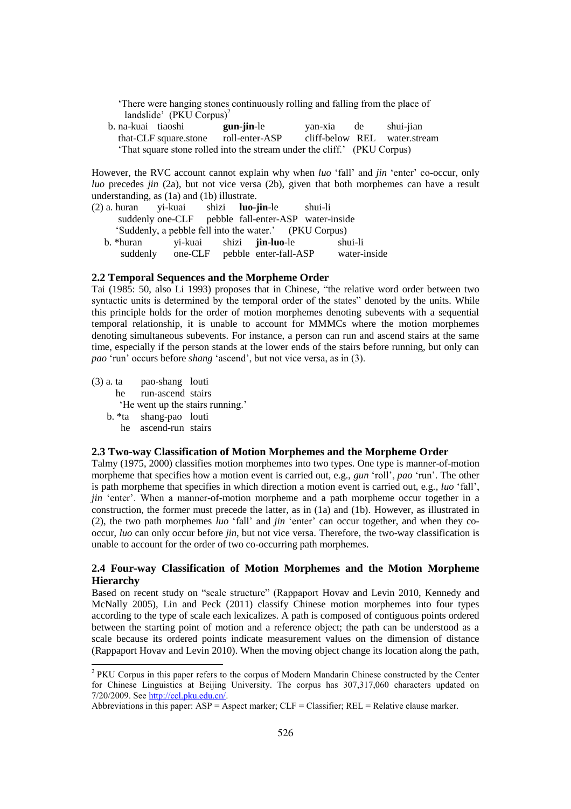"There were hanging stones continuously rolling and falling from the place of landslide' (PKU Corpus)<sup>2</sup>

 b. na-kuai tiaoshi **gun-jin**-le yan-xia de shui-jian that-CLF square.stone roll-enter-ASP cliff-below REL water.stream "That square stone rolled into the stream under the cliff." (PKU Corpus)

However, the RVC account cannot explain why when *luo* "fall" and *jin* "enter" co-occur, only *luo* precedes *jin* (2a), but not vice versa (2b), given that both morphemes can have a result understanding, as (1a) and (1b) illustrate.

| (2) a. huran yi-kuai shizi <b>luo-jin</b> -le |                                                        |                                  | shui-li |              |
|-----------------------------------------------|--------------------------------------------------------|----------------------------------|---------|--------------|
|                                               | suddenly one-CLF pebble fall-enter-ASP water-inside    |                                  |         |              |
|                                               | 'Suddenly, a pebble fell into the water.' (PKU Corpus) |                                  |         |              |
| b. *huran                                     |                                                        | yi-kuai shizi <b>jin-luo</b> -le |         | shui-li      |
| suddenly                                      |                                                        | one-CLF pebble enter-fall-ASP    |         | water-inside |

### **2.2 Temporal Sequences and the Morpheme Order**

Tai (1985: 50, also Li 1993) proposes that in Chinese, "the relative word order between two syntactic units is determined by the temporal order of the states" denoted by the units. While this principle holds for the order of motion morphemes denoting subevents with a sequential temporal relationship, it is unable to account for MMMCs where the motion morphemes denoting simultaneous subevents. For instance, a person can run and ascend stairs at the same time, especially if the person stands at the lower ends of the stairs before running, but only can *pao* "run" occurs before *shang* "ascend", but not vice versa, as in (3).

(3) a. ta pao-shang louti he run-ascend stairs 'He went up the stairs running.' b. \*ta shang-pao louti

he ascend-run stairs

### **2.3 Two-way Classification of Motion Morphemes and the Morpheme Order**

Talmy (1975, 2000) classifies motion morphemes into two types. One type is manner-of-motion morpheme that specifies how a motion event is carried out, e.g., *gun* "roll", *pao* "run". The other is path morpheme that specifies in which direction a motion event is carried out, e.g*., luo* "fall", *jin* 'enter'. When a manner-of-motion morpheme and a path morpheme occur together in a construction, the former must precede the latter, as in (1a) and (1b). However, as illustrated in (2), the two path morphemes *luo* "fall" and *jin* "enter" can occur together, and when they cooccur, *luo* can only occur before *jin*, but not vice versa. Therefore, the two-way classification is unable to account for the order of two co-occurring path morphemes.

# **2.4 Four-way Classification of Motion Morphemes and the Motion Morpheme Hierarchy**

Based on recent study on "scale structure" (Rappaport Hovav and Levin 2010, Kennedy and McNally 2005), Lin and Peck (2011) classify Chinese motion morphemes into four types according to the type of scale each lexicalizes. A path is composed of contiguous points ordered between the starting point of motion and a reference object; the path can be understood as a scale because its ordered points indicate measurement values on the dimension of distance (Rappaport Hovav and Levin 2010). When the moving object change its location along the path,

 2 PKU Corpus in this paper refers to the corpus of Modern Mandarin Chinese constructed by the Center for Chinese Linguistics at Beijing University. The corpus has 307,317,060 characters updated on 7/20/2009. See http://ccl.pku.edu.cn/.

Abbreviations in this paper:  $ASP = Aspect$  marker;  $CLF = Classifier$ ;  $REL = Relative$  clause marker.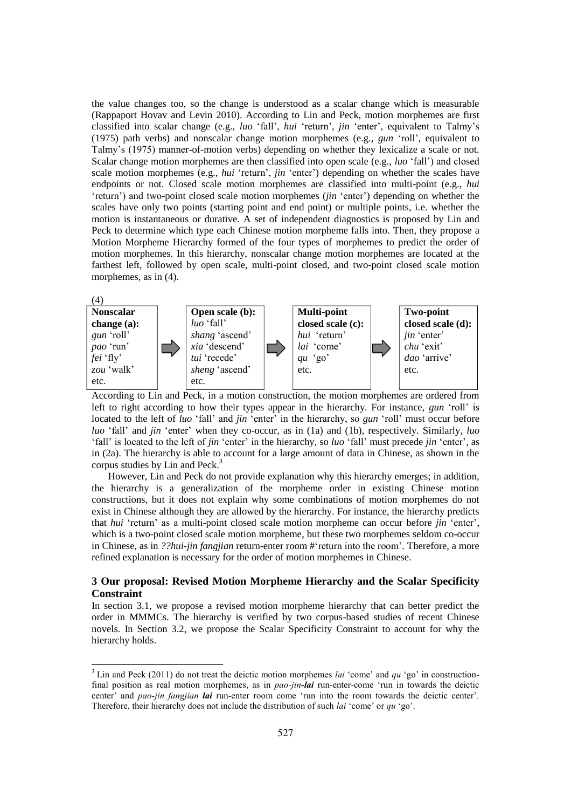the value changes too, so the change is understood as a scalar change which is measurable (Rappaport Hovav and Levin 2010). According to Lin and Peck, motion morphemes are first classified into scalar change (e.g., *luo* "fall", *hui* "return", *jin* "enter", equivalent to Talmy"s (1975) path verbs) and nonscalar change motion morphemes (e.g., *gun* "roll", equivalent to Talmy"s (1975) manner-of-motion verbs) depending on whether they lexicalize a scale or not. Scalar change motion morphemes are then classified into open scale (e.g., *luo* "fall") and closed scale motion morphemes (e.g., *hui* 'return', *jin* 'enter') depending on whether the scales have endpoints or not. Closed scale motion morphemes are classified into multi-point (e.g., *hui* "return") and two-point closed scale motion morphemes (*jin* "enter") depending on whether the scales have only two points (starting point and end point) or multiple points, i.e. whether the motion is instantaneous or durative. A set of independent diagnostics is proposed by Lin and Peck to determine which type each Chinese motion morpheme falls into. Then, they propose a Motion Morpheme Hierarchy formed of the four types of morphemes to predict the order of motion morphemes. In this hierarchy, nonscalar change motion morphemes are located at the farthest left, followed by open scale, multi-point closed, and two-point closed scale motion morphemes, as in (4).



According to Lin and Peck, in a motion construction, the motion morphemes are ordered from left to right according to how their types appear in the hierarchy. For instance, *gun* "roll" is located to the left of *luo* 'fall' and *jin* 'enter' in the hierarchy, so *gun* 'roll' must occur before *luo* "fall" and *jin* "enter" when they co-occur, as in (1a) and (1b), respectively. Similarly, *luo* "fall" is located to the left of *jin* "enter" in the hierarchy, so *luo* "fall" must precede *jin* "enter", as in (2a). The hierarchy is able to account for a large amount of data in Chinese, as shown in the corpus studies by Lin and Peck. 3

However, Lin and Peck do not provide explanation why this hierarchy emerges; in addition, the hierarchy is a generalization of the morpheme order in existing Chinese motion constructions, but it does not explain why some combinations of motion morphemes do not exist in Chinese although they are allowed by the hierarchy. For instance, the hierarchy predicts that *hui* "return" as a multi-point closed scale motion morpheme can occur before *jin* "enter", which is a two-point closed scale motion morpheme, but these two morphemes seldom co-occur in Chinese, as in *??hui-jin fangjian* return-enter room #"return into the room". Therefore, a more refined explanation is necessary for the order of motion morphemes in Chinese.

# **3 Our proposal: Revised Motion Morpheme Hierarchy and the Scalar Specificity Constraint**

In section 3.1, we propose a revised motion morpheme hierarchy that can better predict the order in MMMCs. The hierarchy is verified by two corpus-based studies of recent Chinese novels. In Section 3.2, we propose the Scalar Specificity Constraint to account for why the hierarchy holds.

 $\ddot{ }$ 

<sup>3</sup> Lin and Peck (2011) do not treat the deictic motion morphemes *lai* 'come' and *qu* 'go' in constructionfinal position as real motion morphemes, as in *pao-jin-lai* run-enter-come 'run in towards the deictic center' and *pao-jin fangjian lai* run-enter room come 'run into the room towards the deictic center'. Therefore, their hierarchy does not include the distribution of such *lai* 'come' or *qu* 'go'.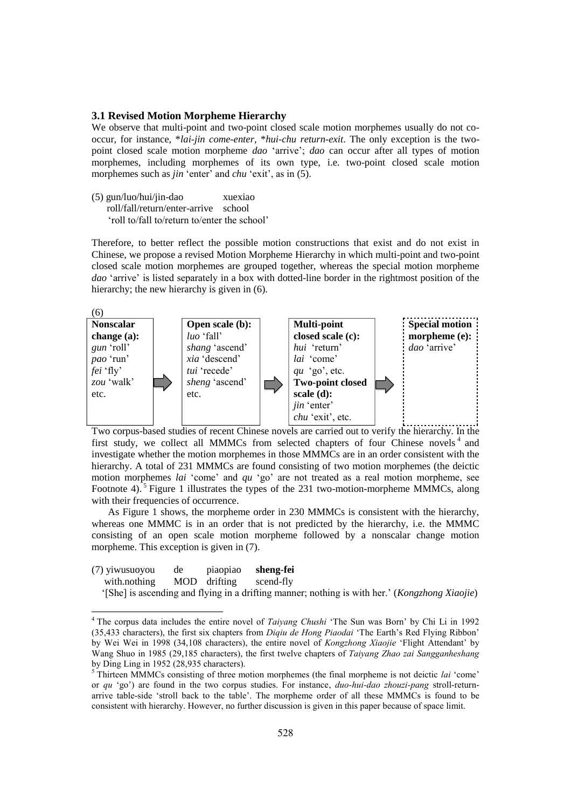### **3.1 Revised Motion Morpheme Hierarchy**

We observe that multi-point and two-point closed scale motion morphemes usually do not cooccur, for instance, \**lai-jin come-enter*, \**hui-chu return-exit*. The only exception is the twopoint closed scale motion morpheme *dao* "arrive"; *dao* can occur after all types of motion morphemes, including morphemes of its own type, i.e. two-point closed scale motion morphemes such as *jin* 'enter' and *chu* 'exit', as in (5).

(5) gun/luo/hui/jin-dao xuexiao roll/fall/return/enter-arrive school 'roll to/fall to/return to/enter the school'

 $\ddot{ }$ 

Therefore, to better reflect the possible motion constructions that exist and do not exist in Chinese, we propose a revised Motion Morpheme Hierarchy in which multi-point and two-point closed scale motion morphemes are grouped together, whereas the special motion morpheme *dao* "arrive" is listed separately in a box with dotted-line border in the rightmost position of the hierarchy; the new hierarchy is given in  $(6)$ .



Two corpus-based studies of recent Chinese novels are carried out to verify the hierarchy. In the first study, we collect all MMMCs from selected chapters of four Chinese novels<sup>4</sup> and investigate whether the motion morphemes in those MMMCs are in an order consistent with the hierarchy. A total of 231 MMMCs are found consisting of two motion morphemes (the deictic motion morphemes *lai* "come" and *qu* "go" are not treated as a real motion morpheme, see Footnote 4).<sup>5</sup> Figure 1 illustrates the types of the 231 two-motion-morpheme MMMCs, along with their frequencies of occurrence.

As Figure 1 shows, the morpheme order in 230 MMMCs is consistent with the hierarchy, whereas one MMMC is in an order that is not predicted by the hierarchy, i.e. the MMMC consisting of an open scale motion morpheme followed by a nonscalar change motion morpheme. This exception is given in  $(7)$ .

| (7) yiwusuoyou                      |  | de piaopiao sheng-fei                                                                          |
|-------------------------------------|--|------------------------------------------------------------------------------------------------|
| with.nothing MOD drifting scend-fly |  |                                                                                                |
|                                     |  | '[She] is ascending and flying in a drifting manner; nothing is with her.' (Kongzhong Xiaojie) |

<sup>4</sup> The corpus data includes the entire novel of *Taiyang Chushi* 'The Sun was Born' by Chi Li in 1992 (35,433 characters), the first six chapters from *Diqiu de Hong Piaodai* 'The Earth's Red Flying Ribbon' by Wei Wei in 1998 (34,108 characters), the entire novel of *Kongzhong Xiaojie* 'Flight Attendant' by Wang Shuo in 1985 (29,185 characters), the first twelve chapters of *Taiyang Zhao zai Sangganheshang* by Ding Ling in 1952 (28,935 characters).

<sup>&</sup>lt;sup>5</sup> Thirteen MMMCs consisting of three motion morphemes (the final morpheme is not deictic *lai* 'come' or *qu* 'go') are found in the two corpus studies. For instance, *duo-hui-dao zhouzi-pang* stroll-returnarrive table-side 'stroll back to the table'. The morpheme order of all these MMMCs is found to be consistent with hierarchy. However, no further discussion is given in this paper because of space limit.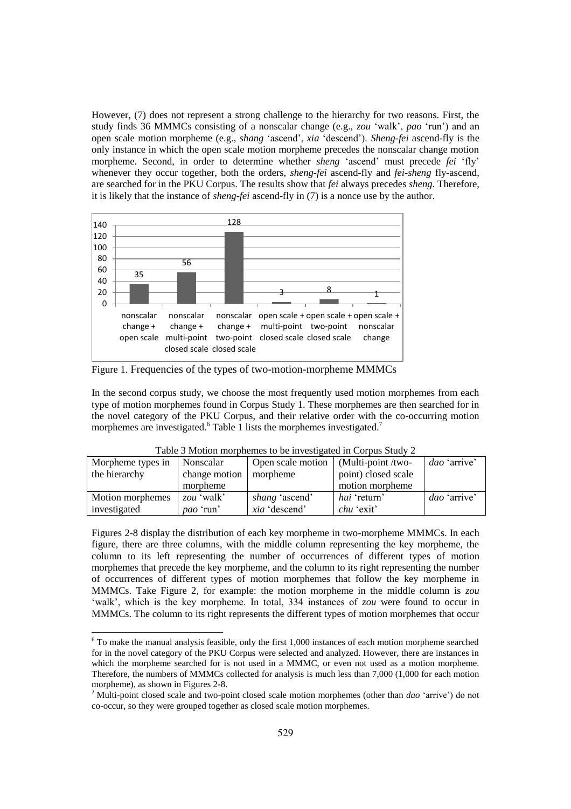However, (7) does not represent a strong challenge to the hierarchy for two reasons. First, the study finds 36 MMMCs consisting of a nonscalar change (e.g., *zou* "walk", *pao* "run") and an open scale motion morpheme (e.g., *shang* "ascend", *xia* "descend"). *Sheng-fei* ascend-fly is the only instance in which the open scale motion morpheme precedes the nonscalar change motion morpheme. Second, in order to determine whether *sheng* "ascend" must precede *fei* "fly" whenever they occur together, both the orders, *sheng-fei* ascend-fly and *fei-sheng* fly-ascend, are searched for in the PKU Corpus. The results show that *fei* always precedes *sheng*. Therefore, it is likely that the instance of *sheng-fei* ascend-fly in (7) is a nonce use by the author.



Figure 1. Frequencies of the types of two-motion-morpheme MMMCs

In the second corpus study, we choose the most frequently used motion morphemes from each type of motion morphemes found in Corpus Study 1. These morphemes are then searched for in the novel category of the PKU Corpus, and their relative order with the co-occurring motion morphemes are investigated.<sup>6</sup> Table 1 lists the morphemes investigated.<sup>7</sup>

| T able 5 IVIOIIOII IIIOI phenics to be investigated in Corpus Study $\mathcal{Z}$ |                  |                                             |                     |                     |  |  |
|-----------------------------------------------------------------------------------|------------------|---------------------------------------------|---------------------|---------------------|--|--|
| Morpheme types in                                                                 | Nonscalar        | Open scale motion $\vert$ (Multi-point/two- |                     | <i>dao</i> 'arrive' |  |  |
| the hierarchy                                                                     | change motion    | morpheme                                    | point) closed scale |                     |  |  |
|                                                                                   | morpheme         |                                             | motion morpheme     |                     |  |  |
| Motion morphemes                                                                  | zou 'walk'       | <i>shang</i> 'ascend'                       | <i>hui</i> 'return' | dao 'arrive'        |  |  |
| investigated                                                                      | <i>pao</i> 'run' | xia 'descend'                               | <i>chu</i> 'exit'   |                     |  |  |

Table 3 Motion morphemes to be investigated in Corpus Study 2

Figures 2-8 display the distribution of each key morpheme in two-morpheme MMMCs. In each figure, there are three columns, with the middle column representing the key morpheme, the column to its left representing the number of occurrences of different types of motion morphemes that precede the key morpheme, and the column to its right representing the number of occurrences of different types of motion morphemes that follow the key morpheme in MMMCs. Take Figure 2, for example: the motion morpheme in the middle column is *zou* 'walk', which is the key morpheme. In total, 334 instances of *zou* were found to occur in MMMCs. The column to its right represents the different types of motion morphemes that occur

 $\ddot{ }$ 

 $6$  To make the manual analysis feasible, only the first 1,000 instances of each motion morpheme searched for in the novel category of the PKU Corpus were selected and analyzed. However, there are instances in which the morpheme searched for is not used in a MMMC, or even not used as a motion morpheme. Therefore, the numbers of MMMCs collected for analysis is much less than 7,000 (1,000 for each motion morpheme), as shown in Figures 2-8.

<sup>7</sup> Multi-point closed scale and two-point closed scale motion morphemes (other than *dao* "arrive") do not co-occur, so they were grouped together as closed scale motion morphemes.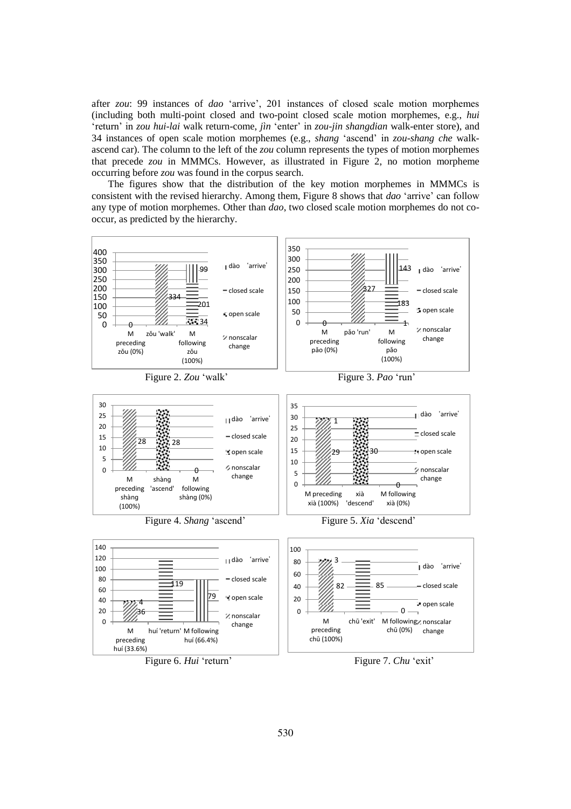after *zou*: 99 instances of *dao* "arrive", 201 instances of closed scale motion morphemes (including both multi-point closed and two-point closed scale motion morphemes, e.g., *hui* "return" in *zou hui-lai* walk return-come, *jìn* "enter" in *zou-jin shangdian* walk-enter store), and 34 instances of open scale motion morphemes (e.g., *shang* "ascend" in *zou-shang che* walkascend car). The column to the left of the *zou* column represents the types of motion morphemes that precede *zou* in MMMCs. However, as illustrated in Figure 2, no motion morpheme occurring before *zou* was found in the corpus search.

The figures show that the distribution of the key motion morphemes in MMMCs is consistent with the revised hierarchy. Among them, Figure 8 shows that *dao* "arrive" can follow any type of motion morphemes. Other than *dao*, two closed scale motion morphemes do not cooccur, as predicted by the hierarchy.

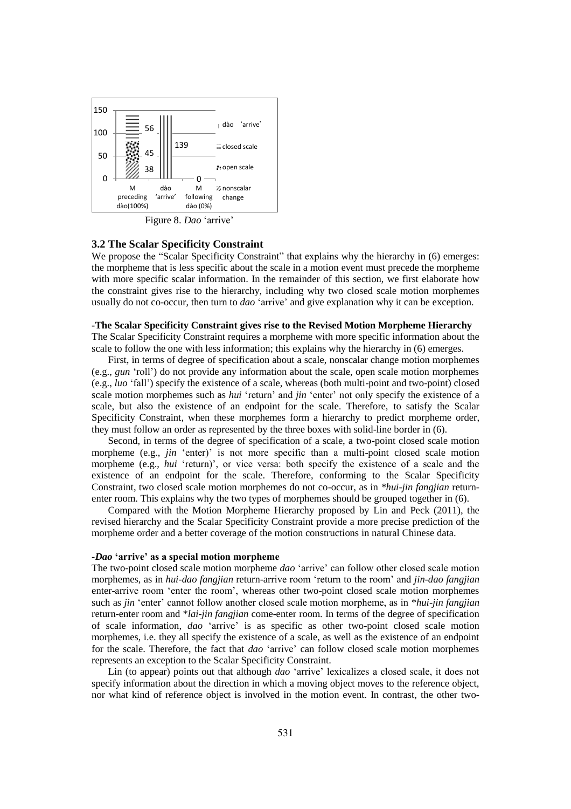

Figure 8. *Dao* 'arrive'

#### **3.2 The Scalar Specificity Constraint**

We propose the "Scalar Specificity Constraint" that explains why the hierarchy in (6) emerges: the morpheme that is less specific about the scale in a motion event must precede the morpheme with more specific scalar information. In the remainder of this section, we first elaborate how the constraint gives rise to the hierarchy, including why two closed scale motion morphemes usually do not co-occur, then turn to *dao* "arrive" and give explanation why it can be exception.

### **-The Scalar Specificity Constraint gives rise to the Revised Motion Morpheme Hierarchy**

The Scalar Specificity Constraint requires a morpheme with more specific information about the scale to follow the one with less information; this explains why the hierarchy in (6) emerges.

First, in terms of degree of specification about a scale, nonscalar change motion morphemes (e.g., *gun* "roll") do not provide any information about the scale, open scale motion morphemes (e.g., *luo* "fall") specify the existence of a scale, whereas (both multi-point and two-point) closed scale motion morphemes such as *hui* 'return' and *jin* 'enter' not only specify the existence of a scale, but also the existence of an endpoint for the scale. Therefore, to satisfy the Scalar Specificity Constraint, when these morphemes form a hierarchy to predict morpheme order, they must follow an order as represented by the three boxes with solid-line border in (6).

Second, in terms of the degree of specification of a scale, a two-point closed scale motion morpheme (e.g., *jin* 'enter)' is not more specific than a multi-point closed scale motion morpheme (e.g., *hui* 'return)', or vice versa: both specify the existence of a scale and the existence of an endpoint for the scale. Therefore, conforming to the Scalar Specificity Constraint, two closed scale motion morphemes do not co-occur, as in *\*hui-jin fangjian* returnenter room. This explains why the two types of morphemes should be grouped together in (6).

Compared with the Motion Morpheme Hierarchy proposed by Lin and Peck (2011), the revised hierarchy and the Scalar Specificity Constraint provide a more precise prediction of the morpheme order and a better coverage of the motion constructions in natural Chinese data.

#### **-***Dao* **"arrive" as a special motion morpheme**

The two-point closed scale motion morpheme *dao* "arrive" can follow other closed scale motion morphemes, as in *hui-dao fangjian* return-arrive room "return to the room" and *jin-dao fangjian* enter-arrive room "enter the room", whereas other two-point closed scale motion morphemes such as *jin* 'enter' cannot follow another closed scale motion morpheme, as in \**hui-jin fangjian* return-enter room and \**lai-jin fangjian* come-enter room. In terms of the degree of specification of scale information, *dao* "arrive" is as specific as other two-point closed scale motion morphemes, i.e. they all specify the existence of a scale, as well as the existence of an endpoint for the scale. Therefore, the fact that *dao* "arrive" can follow closed scale motion morphemes represents an exception to the Scalar Specificity Constraint.

Lin (to appear) points out that although *dao* 'arrive' lexicalizes a closed scale, it does not specify information about the direction in which a moving object moves to the reference object, nor what kind of reference object is involved in the motion event. In contrast, the other two